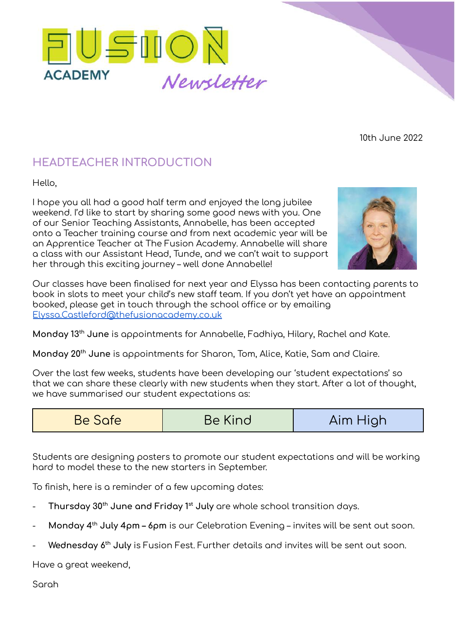

10th June 2022

## **HEADTEACHER INTRODUCTION**

Hello,

I hope you all had a good half term and enjoyed the long jubilee weekend. I'd like to start by sharing some good news with you. One of our Senior Teaching Assistants, Annabelle, has been accepted onto a Teacher training course and from next academic year will be an Apprentice Teacher at The Fusion Academy. Annabelle will share a class with our Assistant Head, Tunde, and we can't wait to support her through this exciting journey – well done Annabelle!



Our classes have been finalised for next year and Elyssa has been contacting parents to book in slots to meet your child's new staff team. If you don't yet have an appointment booked, please get in touch through the school office or by emailing [Elyssa.Castleford@thefusionacademy.co.uk](mailto:Elyssa.Castleford@thefusionacademy.co.uk)

**Monday 13 th June** is appointments for Annabelle, Fadhiya, Hilary, Rachel and Kate.

**Monday 20 th June** is appointments for Sharon, Tom, Alice, Katie, Sam and Claire.

Over the last few weeks, students have been developing our 'student expectations' so that we can share these clearly with new students when they start. After a lot of thought, we have summarised our student expectations as:

| Be Safe | Be Kind | Aim High |
|---------|---------|----------|
|---------|---------|----------|

Students are designing posters to promote our student expectations and will be working hard to model these to the new starters in September.

To finish, here is a reminder of a few upcoming dates:

- **Thursday 30 th June and Friday 1 st July** are whole school transition days.
- **Monday 4 th July 4pm – 6pm** is our Celebration Evening invites will be sent out soon.
- **Wednesday 6 th July** is Fusion Fest. Further details and invites will be sent out soon.

Have a great weekend,

Sarah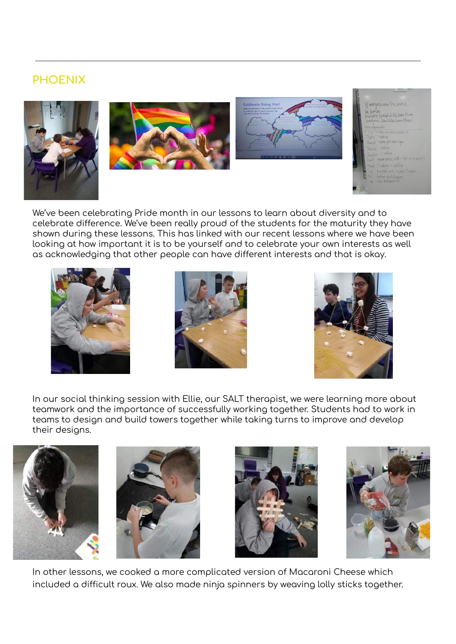## **PHOENIX**







| If everyorithme the some.           |
|-------------------------------------|
| <b>NU DOTUM</b>                     |
| energen would foll some thing       |
| everyone Ward the same things       |
| <b>HALL OFFICERS</b>                |
| Our NAME WE DOE FOR A               |
| Turk Corkins                        |
| Hanah Making fair ord chaps         |
| With Trouve                         |
| Justine rathing                     |
| inat have such table clips a simple |
|                                     |
| Thed: "relation + need the          |
| and Marital arts attend another     |
| A WE Thekin and thousand            |
| The Chip sold work the              |
|                                     |

We've been celebrating Pride month in our lessons to learn about diversity and to celebrate difference. We've been really proud of the students for the maturity they have shown during these lessons. This has linked with our recent lessons where we have been looking at how important it is to be yourself and to celebrate your own interests as well as acknowledging that other people can have different interests and that is okay.







In our social thinking session with Ellie, our SALT therapist, we were learning more about teamwork and the importance of successfully working together. Students had to work in teams to design and build towers together while taking turns to improve and develop their designs.









In other lessons, we cooked a more complicated version of Macaroni Cheese which included a difficult roux. We also made ninja spinners by weaving lolly sticks together.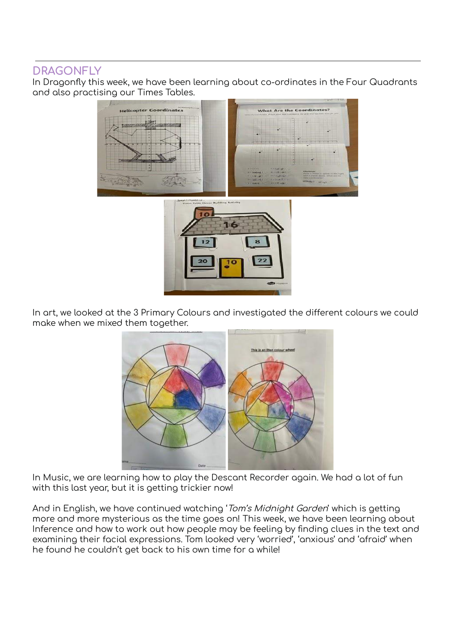#### **DRAGONFLY**

In Dragonfly this week, we have been learning about co-ordinates in the Four Quadrants and also practising our Times Tables.



In art, we looked at the 3 Primary Colours and investigated the different colours we could make when we mixed them together.



In Music, we are learning how to play the Descant Recorder again. We had a lot of fun with this last year, but it is getting trickier now!

And in English, we have continued watching 'Tom's Midnight Garden' which is getting more and more mysterious as the time goes on! This week, we have been learning about Inference and how to work out how people may be feeling by finding clues in the text and examining their facial expressions. Tom looked very 'worried', 'anxious' and 'afraid' when he found he couldn't get back to his own time for a while!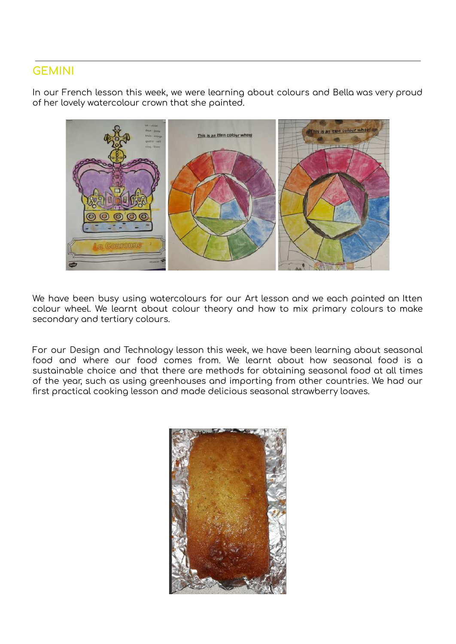#### **GEMINI**

In our French lesson this week, we were learning about colours and Bella was very proud of her lovely watercolour crown that she painted.



We have been busy using watercolours for our Art lesson and we each painted an Itten colour wheel. We learnt about colour theory and how to mix primary colours to make secondary and tertiary colours.

For our Design and Technology lesson this week, we have been learning about seasonal food and where our food comes from. We learnt about how seasonal food is a sustainable choice and that there are methods for obtaining seasonal food at all times of the year, such as using greenhouses and importing from other countries. We had our first practical cooking lesson and made delicious seasonal strawberry loaves.

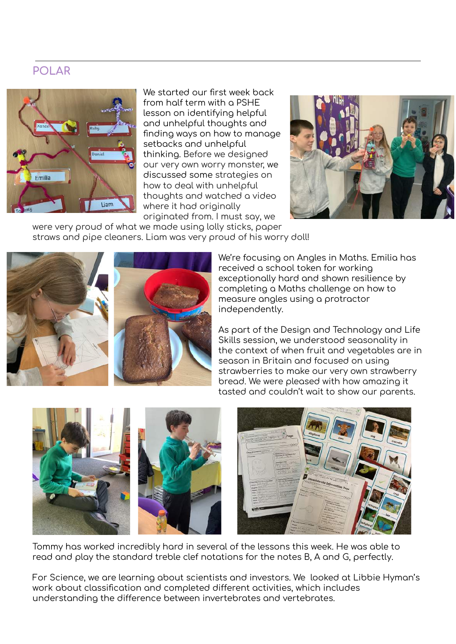#### **POLAR**



We started our first week back from half term with a PSHE lesson on identifying helpful and unhelpful thoughts and finding ways on how to manage setbacks and unhelpful thinking. Before we designed our very own worry monster, we discussed some strategies on how to deal with unhelpful thoughts and watched a video where it had originally originated from. I must say, we



were very proud of what we made using lolly sticks, paper straws and pipe cleaners. Liam was very proud of his worry doll!



We're focusing on Angles in Maths. Emilia has received a school token for working exceptionally hard and shown resilience by completing a Maths challenge on how to measure angles using a protractor independently.

As part of the Design and Technology and Life Skills session, we understood seasonality in the context of when fruit and vegetables are in season in Britain and focused on using strawberries to make our very own strawberry bread. We were pleased with how amazing it tasted and couldn't wait to show our parents.





Tommy has worked incredibly hard in several of the lessons this week. He was able to read and play the standard treble clef notations for the notes B, A and G, perfectly.

For Science, we are learning about scientists and investors. We looked at Libbie Hyman's work about classification and completed different activities, which includes understanding the difference between invertebrates and vertebrates.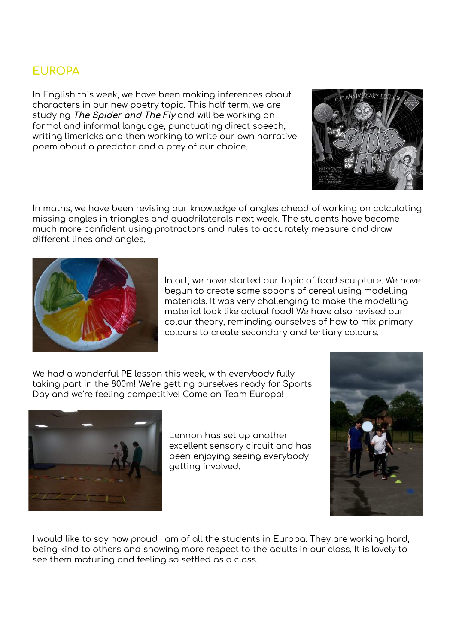## **EUROPA**

In English this week, we have been making inferences about characters in our new poetry topic. This half term, we are studying **The Spider and The Fly** and will be working on formal and informal language, punctuating direct speech, writing limericks and then working to write our own narrative poem about a predator and a prey of our choice.





In art, we have started our topic of food sculpture. We have begun to create some spoons of cereal using modelling materials. It was very challenging to make the modelling material look like actual food! We have also revised our colour theory, reminding ourselves of how to mix primary colours to create secondary and tertiary colours.

We had a wonderful PE lesson this week, with everybody fully taking part in the 800m! We're getting ourselves ready for Sports Day and we're feeling competitive! Come on Team Europa!



Lennon has set up another excellent sensory circuit and has been enjoying seeing everybody getting involved.



I would like to say how proud I am of all the students in Europa. They are working hard, being kind to others and showing more respect to the adults in our class. It is lovely to see them maturing and feeling so settled as a class.

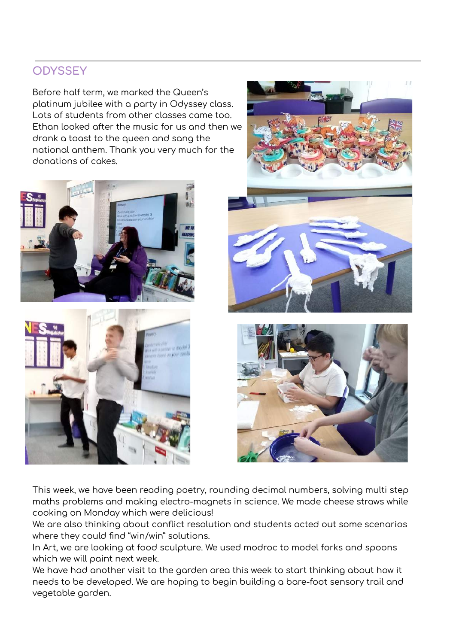## **ODYSSEY**

Before half term, we marked the Queen's platinum jubilee with a party in Odyssey class. Lots of students from other classes came too. Ethan looked after the music for us and then we drank a toast to the queen and sang the national anthem. Thank you very much for the donations of cakes.











This week, we have been reading poetry, rounding decimal numbers, solving multi step maths problems and making electro-magnets in science. We made cheese straws while cooking on Monday which were delicious!

We are also thinking about conflict resolution and students acted out some scenarios where they could find "win/win" solutions.

In Art, we are looking at food sculpture. We used modroc to model forks and spoons which we will paint next week.

We have had another visit to the garden area this week to start thinking about how it needs to be developed. We are hoping to begin building a bare-foot sensory trail and vegetable garden.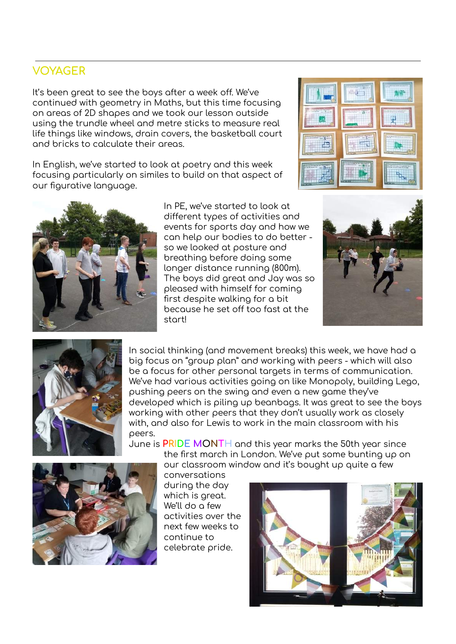#### **VOYAGER**

It's been great to see the boys after a week off. We've continued with geometry in Maths, but this time focusing on areas of 2D shapes and we took our lesson outside using the trundle wheel and metre sticks to measure real life things like windows, drain covers, the basketball court and bricks to calculate their areas.

In English, we've started to look at poetry and this week focusing particularly on similes to build on that aspect of our figurative language.



In PE, we've started to look at different types of activities and events for sports day and how we can help our bodies to do better so we looked at posture and breathing before doing some longer distance running (800m). The boys did great and Jay was so pleased with himself for coming first despite walking for a bit because he set off too fast at the start!







In social thinking (and movement breaks) this week, we have had a big focus on "group plan" and working with peers - which will also be a focus for other personal targets in terms of communication. We've had various activities going on like Monopoly, building Lego, pushing peers on the swing and even a new game they've developed which is piling up beanbags. It was great to see the boys working with other peers that they don't usually work as closely with, and also for Lewis to work in the main classroom with his peers.



June is **PRIDE MONTH** and this year marks the 50th year since the first march in London. We've put some bunting up on our classroom window and it's bought up quite a few

> conversations during the day which is great. We'll do a few activities over the next few weeks to continue to celebrate pride.

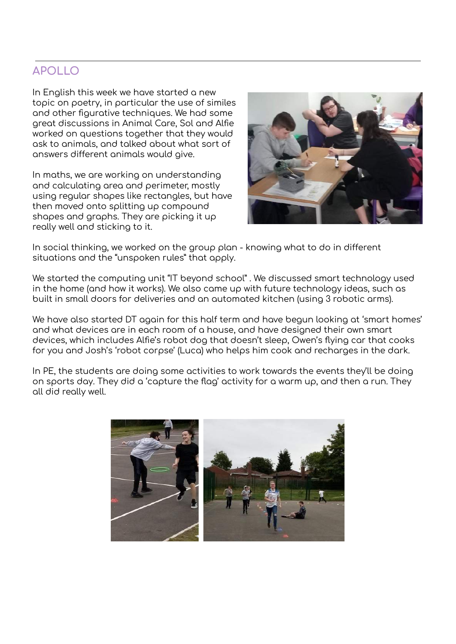## **APOLLO**

In English this week we have started a new topic on poetry, in particular the use of similes and other figurative techniques. We had some great discussions in Animal Care, Sol and Alfie worked on questions together that they would ask to animals, and talked about what sort of answers different animals would give.

In maths, we are working on understanding and calculating area and perimeter, mostly using regular shapes like rectangles, but have then moved onto splitting up compound shapes and graphs. They are picking it up really well and sticking to it.



In social thinking, we worked on the group plan - knowing what to do in different situations and the "unspoken rules" that apply.

We started the computing unit "IT beyond school" . We discussed smart technology used in the home (and how it works). We also came up with future technology ideas, such as built in small doors for deliveries and an automated kitchen (using 3 robotic arms).

We have also started DT again for this half term and have begun looking at 'smart homes' and what devices are in each room of a house, and have designed their own smart devices, which includes Alfie's robot dog that doesn't sleep, Owen's flying car that cooks for you and Josh's 'robot corpse' (Luca) who helps him cook and recharges in the dark.

In PE, the students are doing some activities to work towards the events they'll be doing on sports day. They did a 'capture the flag' activity for a warm up, and then a run. They all did really well.

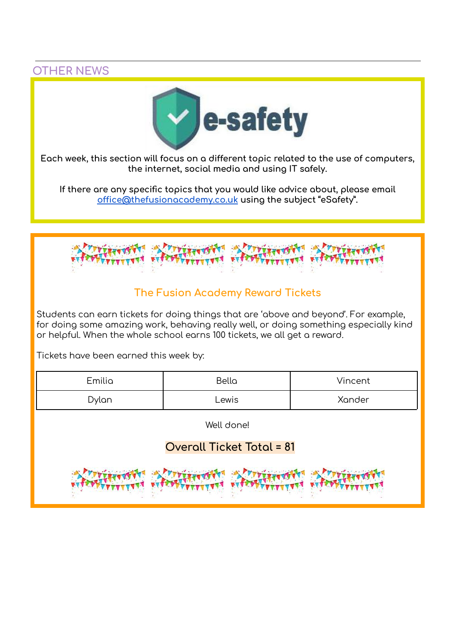**OTHER NEWS**



**Each week, this section will focus on a different topic related to the use of computers, the internet, social media and using IT safely.**

**If there are any specific topics that you would like advice about, please email [office@thefusionacademy.co.uk](mailto:office@thefusionacademy.co.uk) using the subject "eSafety".**



## **The Fusion Academy Reward Tickets**

Students can earn tickets for doing things that are 'above and beyond'. For example, for doing some amazing work, behaving really well, or doing something especially kind or helpful. When the whole school earns 100 tickets, we all get a reward.

Tickets have been earned this week by:

| Emilia | Bella | Vincent |
|--------|-------|---------|
| Dylan  | ∟ewis | Xander  |

Well done!

## **Overall Ticket Total = 81**

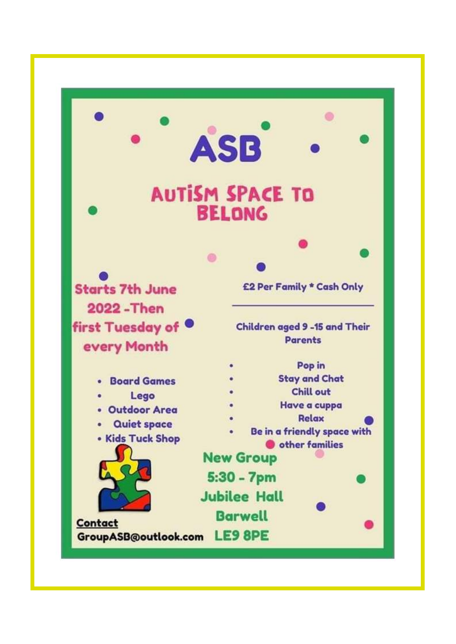